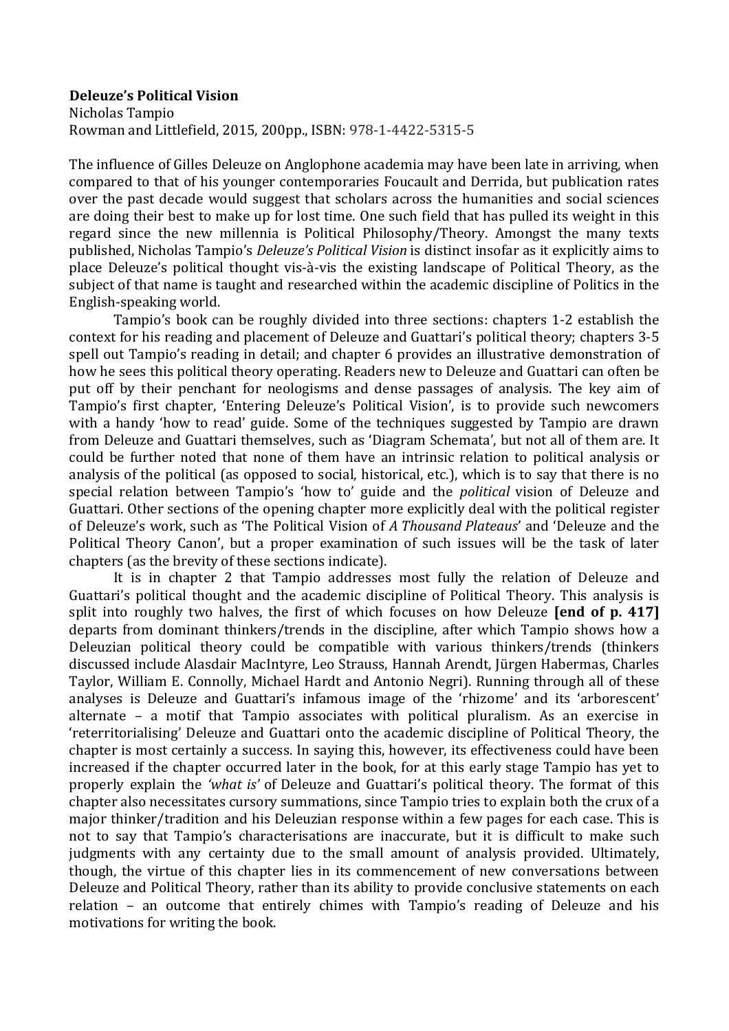## **Deleuze's Political Vision**

Nicholas Tampio Rowman and Littlefield, 2015, 200pp., ISBN: 978-1-4422-5315-5

The influence of Gilles Deleuze on Anglophone academia may have been late in arriving, when compared to that of his vounger contemporaries Foucault and Derrida, but publication rates over the past decade would suggest that scholars across the humanities and social sciences are doing their best to make up for lost time. One such field that has pulled its weight in this regard since the new millennia is Political Philosophy/Theory. Amongst the many texts published, Nicholas Tampio's *Deleuze's Political Vision* is distinct insofar as it explicitly aims to place Deleuze's political thought vis-à-vis the existing landscape of Political Theory, as the subject of that name is taught and researched within the academic discipline of Politics in the English-speaking world.

Tampio's book can be roughly divided into three sections: chapters 1-2 establish the context for his reading and placement of Deleuze and Guattari's political theory; chapters 3-5 spell out Tampio's reading in detail; and chapter 6 provides an illustrative demonstration of how he sees this political theory operating. Readers new to Deleuze and Guattari can often be put off by their penchant for neologisms and dense passages of analysis. The key aim of Tampio's first chapter, 'Entering Deleuze's Political Vision', is to provide such newcomers with a handy 'how to read' guide. Some of the techniques suggested by Tampio are drawn from Deleuze and Guattari themselves, such as 'Diagram Schemata', but not all of them are. It could be further noted that none of them have an intrinsic relation to political analysis or analysis of the political (as opposed to social, historical, etc.), which is to say that there is no special relation between Tampio's 'how to' guide and the *political* vision of Deleuze and Guattari. Other sections of the opening chapter more explicitly deal with the political register of Deleuze's work, such as 'The Political Vision of *A Thousand Plateaus'* and 'Deleuze and the Political Theory Canon', but a proper examination of such issues will be the task of later chapters (as the brevity of these sections indicate).

It is in chapter 2 that Tampio addresses most fully the relation of Deleuze and Guattari's political thought and the academic discipline of Political Theory. This analysis is split into roughly two halves, the first of which focuses on how Deleuze **[end of p. 417]** departs from dominant thinkers/trends in the discipline, after which Tampio shows how a Deleuzian political theory could be compatible with various thinkers/trends (thinkers discussed include Alasdair MacIntyre, Leo Strauss, Hannah Arendt, Jürgen Habermas, Charles Taylor, William E. Connolly, Michael Hardt and Antonio Negri). Running through all of these analyses is Deleuze and Guattari's infamous image of the 'rhizome' and its 'arborescent' alternate  $-$  a motif that Tampio associates with political pluralism. As an exercise in 'reterritorialising' Deleuze and Guattari onto the academic discipline of Political Theory, the chapter is most certainly a success. In saying this, however, its effectiveness could have been increased if the chapter occurred later in the book, for at this early stage Tampio has yet to properly explain the *'what* is' of Deleuze and Guattari's political theory. The format of this chapter also necessitates cursory summations, since Tampio tries to explain both the crux of a major thinker/tradition and his Deleuzian response within a few pages for each case. This is not to say that Tampio's characterisations are inaccurate, but it is difficult to make such judgments with any certainty due to the small amount of analysis provided. Ultimately, though, the virtue of this chapter lies in its commencement of new conversations between Deleuze and Political Theory, rather than its ability to provide conclusive statements on each relation – an outcome that entirely chimes with Tampio's reading of Deleuze and his motivations for writing the book.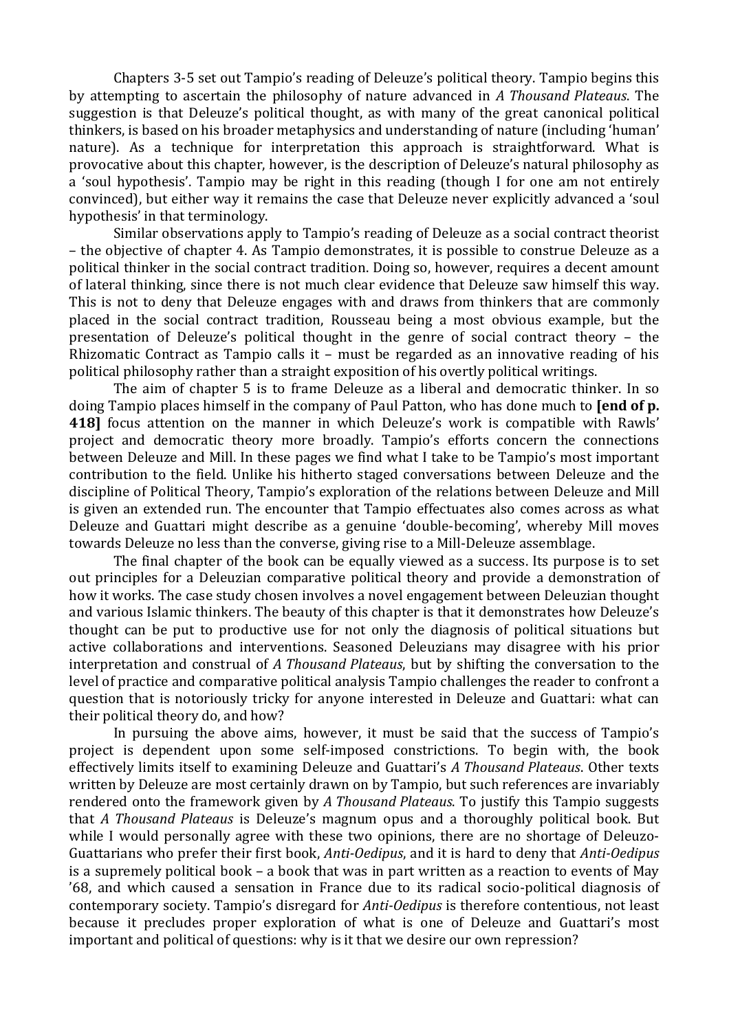Chapters 3-5 set out Tampio's reading of Deleuze's political theory. Tampio begins this by attempting to ascertain the philosophy of nature advanced in *A* Thousand Plateaus. The suggestion is that Deleuze's political thought, as with many of the great canonical political thinkers, is based on his broader metaphysics and understanding of nature (including 'human' nature). As a technique for interpretation this approach is straightforward. What is provocative about this chapter, however, is the description of Deleuze's natural philosophy as a 'soul hypothesis'. Tampio may be right in this reading (though I for one am not entirely convinced), but either way it remains the case that Deleuze never explicitly advanced a 'soul hypothesis' in that terminology.

Similar observations apply to Tampio's reading of Deleuze as a social contract theorist – the objective of chapter 4. As Tampio demonstrates, it is possible to construe Deleuze as a political thinker in the social contract tradition. Doing so, however, requires a decent amount of lateral thinking, since there is not much clear evidence that Deleuze saw himself this way. This is not to deny that Deleuze engages with and draws from thinkers that are commonly placed in the social contract tradition, Rousseau being a most obvious example, but the presentation of Deleuze's political thought in the genre of social contract theory - the Rhizomatic Contract as Tampio calls it  $-$  must be regarded as an innovative reading of his political philosophy rather than a straight exposition of his overtly political writings.

The aim of chapter 5 is to frame Deleuze as a liberal and democratic thinker. In so doing Tampio places himself in the company of Paul Patton, who has done much to **[end of p. 418]** focus attention on the manner in which Deleuze's work is compatible with Rawls' project and democratic theory more broadly. Tampio's efforts concern the connections between Deleuze and Mill. In these pages we find what I take to be Tampio's most important contribution to the field. Unlike his hitherto staged conversations between Deleuze and the discipline of Political Theory, Tampio's exploration of the relations between Deleuze and Mill is given an extended run. The encounter that Tampio effectuates also comes across as what Deleuze and Guattari might describe as a genuine 'double-becoming', whereby Mill moves towards Deleuze no less than the converse, giving rise to a Mill-Deleuze assemblage.

The final chapter of the book can be equally viewed as a success. Its purpose is to set out principles for a Deleuzian comparative political theory and provide a demonstration of how it works. The case study chosen involves a novel engagement between Deleuzian thought and various Islamic thinkers. The beauty of this chapter is that it demonstrates how Deleuze's thought can be put to productive use for not only the diagnosis of political situations but active collaborations and interventions. Seasoned Deleuzians may disagree with his prior interpretation and construal of *A Thousand Plateaus*, but by shifting the conversation to the level of practice and comparative political analysis Tampio challenges the reader to confront a question that is notoriously tricky for anyone interested in Deleuze and Guattari: what can their political theory do, and how?

In pursuing the above aims, however, it must be said that the success of Tampio's project is dependent upon some self-imposed constrictions. To begin with, the book effectively limits itself to examining Deleuze and Guattari's A Thousand Plateaus. Other texts written by Deleuze are most certainly drawn on by Tampio, but such references are invariably rendered onto the framework given by A Thousand Plateaus. To justify this Tampio suggests that *A* Thousand Plateaus is Deleuze's magnum opus and a thoroughly political book. But while I would personally agree with these two opinions, there are no shortage of Deleuzo-Guattarians who prefer their first book, *Anti-Oedipus*, and it is hard to deny that *Anti-Oedipus* is a supremely political book – a book that was in part written as a reaction to events of May '68, and which caused a sensation in France due to its radical socio-political diagnosis of contemporary society. Tampio's disregard for *Anti-Oedipus* is therefore contentious, not least because it precludes proper exploration of what is one of Deleuze and Guattari's most important and political of questions: why is it that we desire our own repression?